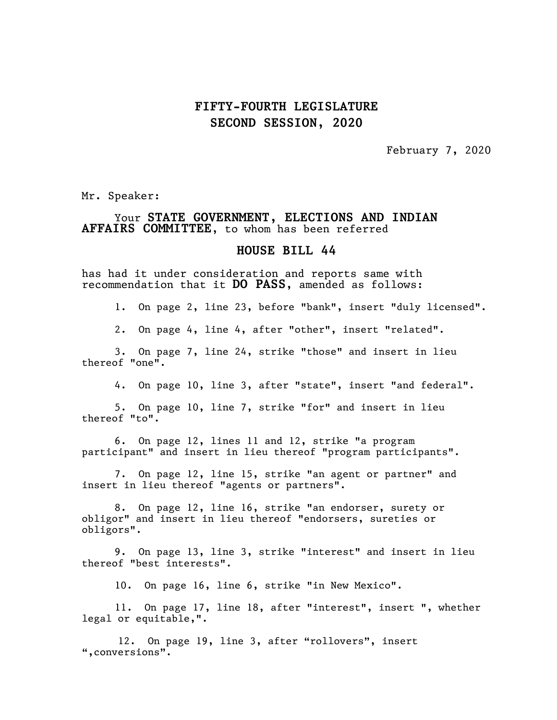## **FIFTY-FOURTH LEGISLATURE SECOND SESSION, 2020**

February 7, 2020

Mr. Speaker:

## Your **STATE GOVERNMENT, ELECTIONS AND INDIAN AFFAIRS COMMITTEE,** to whom has been referred

## **HOUSE BILL 44**

has had it under consideration and reports same with recommendation that it **DO PASS**, amended as follows:

1. On page 2, line 23, before "bank", insert "duly licensed".

2. On page 4, line 4, after "other", insert "related".

3. On page 7, line 24, strike "those" and insert in lieu thereof "one".

4. On page 10, line 3, after "state", insert "and federal".

5. On page 10, line 7, strike "for" and insert in lieu thereof "to".

6. On page 12, lines 11 and 12, strike "a program participant" and insert in lieu thereof "program participants".

7. On page 12, line 15, strike "an agent or partner" and insert in lieu thereof "agents or partners".

8. On page 12, line 16, strike "an endorser, surety or obligor" and insert in lieu thereof "endorsers, sureties or obligors".

9. On page 13, line 3, strike "interest" and insert in lieu thereof "best interests".

10. On page 16, line 6, strike "in New Mexico".

11. On page 17, line 18, after "interest", insert ", whether legal or equitable,".

 12. On page 19, line 3, after "rollovers", insert ",conversions".